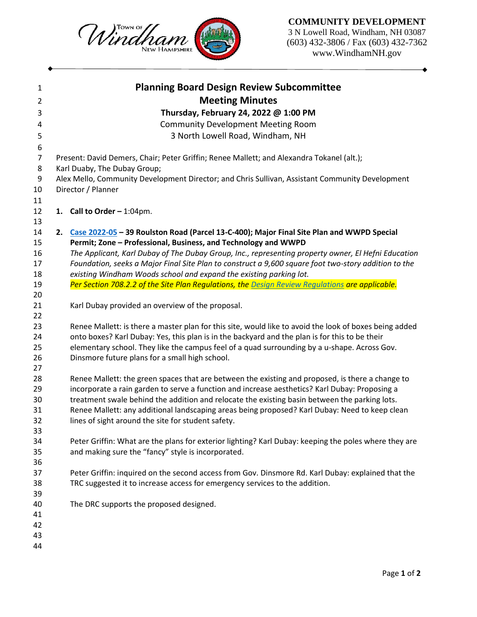## **COMMUNITY DEVELOPMENT**

3 N Lowell Road, Windham, NH 03087 (603) 432-3806 / Fax (603) 432-7362 www.WindhamNH.gov

| <b>Planning Board Design Review Subcommittee</b>                                                       |
|--------------------------------------------------------------------------------------------------------|
| <b>Meeting Minutes</b>                                                                                 |
| Thursday, February 24, 2022 @ 1:00 PM                                                                  |
| <b>Community Development Meeting Room</b>                                                              |
| 3 North Lowell Road, Windham, NH                                                                       |
|                                                                                                        |
| Present: David Demers, Chair; Peter Griffin; Renee Mallett; and Alexandra Tokanel (alt.);              |
| Karl Duaby, The Dubay Group;                                                                           |
| Alex Mello, Community Development Director; and Chris Sullivan, Assistant Community Development        |
| Director / Planner                                                                                     |
|                                                                                                        |
| 1. Call to Order $-1:04$ pm.                                                                           |
|                                                                                                        |
| 2. Case 2022-05 - 39 Roulston Road (Parcel 13-C-400); Major Final Site Plan and WWPD Special           |
| Permit; Zone - Professional, Business, and Technology and WWPD                                         |
| The Applicant, Karl Dubay of The Dubay Group, Inc., representing property owner, El Hefni Education    |
| Foundation, seeks a Major Final Site Plan to construct a 9,600 square foot two-story addition to the   |
| existing Windham Woods school and expand the existing parking lot.                                     |
| Per Section 708.2.2 of the Site Plan Regulations, the Design Review Regulations are applicable.        |
|                                                                                                        |
| Karl Dubay provided an overview of the proposal.                                                       |
|                                                                                                        |
| Renee Mallett: is there a master plan for this site, would like to avoid the look of boxes being added |
| onto boxes? Karl Dubay: Yes, this plan is in the backyard and the plan is for this to be their         |
| elementary school. They like the campus feel of a quad surrounding by a u-shape. Across Gov.           |
| Dinsmore future plans for a small high school.                                                         |
|                                                                                                        |
| Renee Mallett: the green spaces that are between the existing and proposed, is there a change to       |
| incorporate a rain garden to serve a function and increase aesthetics? Karl Dubay: Proposing a         |
| treatment swale behind the addition and relocate the existing basin between the parking lots.          |
| Renee Mallett: any additional landscaping areas being proposed? Karl Dubay: Need to keep clean         |
| lines of sight around the site for student safety.                                                     |
|                                                                                                        |
| Peter Griffin: What are the plans for exterior lighting? Karl Dubay: keeping the poles where they are  |
| and making sure the "fancy" style is incorporated.                                                     |
|                                                                                                        |
| Peter Griffin: inquired on the second access from Gov. Dinsmore Rd. Karl Dubay: explained that the     |
| TRC suggested it to increase access for emergency services to the addition.                            |
|                                                                                                        |
| The DRC supports the proposed designed.                                                                |
|                                                                                                        |
|                                                                                                        |
|                                                                                                        |
|                                                                                                        |

Windham